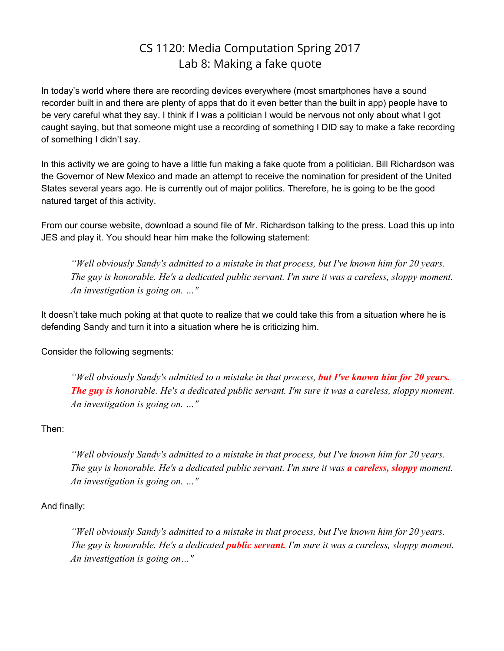## CS 1120: Media Computation Spring 2017 Lab 8: Making a fake quote

In today's world where there are recording devices everywhere (most smartphones have a sound recorder built in and there are plenty of apps that do it even better than the built in app) people have to be very careful what they say. I think if I was a politician I would be nervous not only about what I got caught saying, but that someone might use a recording of something I DID say to make a fake recording of something I didn't say.

In this activity we are going to have a little fun making a fake quote from a politician. Bill Richardson was the Governor of New Mexico and made an attempt to receive the nomination for president of the United States several years ago. He is currently out of major politics. Therefore, he is going to be the good natured target of this activity.

From our course website, download a sound file of Mr. Richardson talking to the press. Load this up into JES and play it. You should hear him make the following statement:

*"Well obviously Sandy's admitted to a mistake in that process, but I've known him for 20 years. The guy is honorable. He's a dedicated public servant. I'm sure it was a careless, sloppy moment. An investigation is going on. …"*

It doesn't take much poking at that quote to realize that we could take this from a situation where he is defending Sandy and turn it into a situation where he is criticizing him.

Consider the following segments:

*"Well obviously Sandy's admitted to a mistake in that process, but I've known him for 20 years. The guy is honorable. He's a dedicated public servant. I'm sure it was a careless, sloppy moment. An investigation is going on. …"*

Then:

*"Well obviously Sandy's admitted to a mistake in that process, but I've known him for 20 years. The guy is honorable. He's a dedicated public servant. I'm sure it was a careless, sloppy moment. An investigation is going on. …"*

## And finally:

*"Well obviously Sandy's admitted to a mistake in that process, but I've known him for 20 years. The guy is honorable. He's a dedicated public servant. I'm sure it was a careless, sloppy moment. An investigation is going on…"*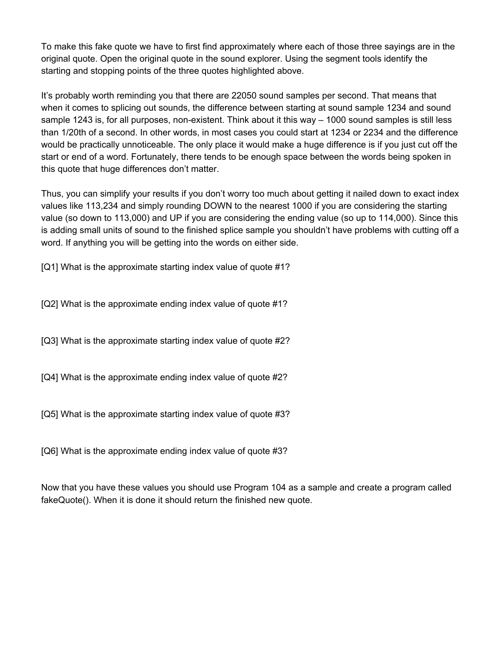To make this fake quote we have to first find approximately where each of those three sayings are in the original quote. Open the original quote in the sound explorer. Using the segment tools identify the starting and stopping points of the three quotes highlighted above.

It's probably worth reminding you that there are 22050 sound samples per second. That means that when it comes to splicing out sounds, the difference between starting at sound sample 1234 and sound sample 1243 is, for all purposes, non-existent. Think about it this way – 1000 sound samples is still less than 1/20th of a second. In other words, in most cases you could start at 1234 or 2234 and the difference would be practically unnoticeable. The only place it would make a huge difference is if you just cut off the start or end of a word. Fortunately, there tends to be enough space between the words being spoken in this quote that huge differences don't matter.

Thus, you can simplify your results if you don't worry too much about getting it nailed down to exact index values like 113,234 and simply rounding DOWN to the nearest 1000 if you are considering the starting value (so down to 113,000) and UP if you are considering the ending value (so up to 114,000). Since this is adding small units of sound to the finished splice sample you shouldn't have problems with cutting off a word. If anything you will be getting into the words on either side.

[Q1] What is the approximate starting index value of quote #1?

[Q2] What is the approximate ending index value of quote #1?

[Q3] What is the approximate starting index value of quote #2?

[Q4] What is the approximate ending index value of quote #2?

[Q5] What is the approximate starting index value of quote #3?

[Q6] What is the approximate ending index value of quote #3?

Now that you have these values you should use Program 104 as a sample and create a program called fakeQuote(). When it is done it should return the finished new quote.